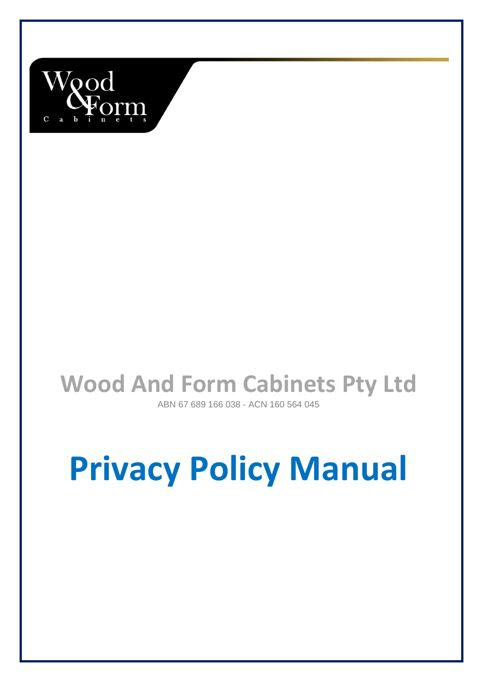

## **Wood And Form Cabinets Pty Ltd**

ABN 67 689 166 038 - ACN 160 564 045

# **Privacy Policy Manual**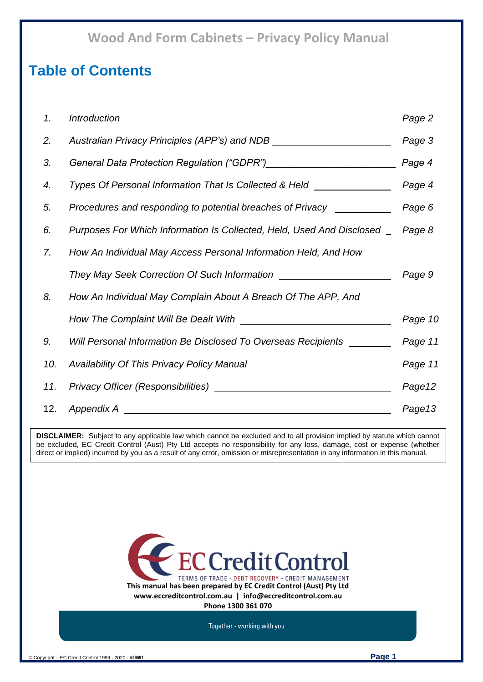### **Table of Contents**

| 1.  | <i><b>Introduction</b></i><br><u> 1980 - Johann John Stone, markin sanadi a shekara 1980 - An tsara 1980 - An tsara 1980 - An tsara 1980 - An t</u> | Page 2  |
|-----|-----------------------------------------------------------------------------------------------------------------------------------------------------|---------|
| 2.  | Australian Privacy Principles (APP's) and NDB __________________________________                                                                    | Page 3  |
| 3.  |                                                                                                                                                     | Page 4  |
| 4.  | Types Of Personal Information That Is Collected & Held _________________________                                                                    | Page 4  |
| 5.  | Procedures and responding to potential breaches of Privacy <b>Fright</b>                                                                            | Page 6  |
| 6.  | Purposes For Which Information Is Collected, Held, Used And Disclosed _                                                                             | Page 8  |
| 7.  | How An Individual May Access Personal Information Held, And How                                                                                     |         |
|     | They May Seek Correction Of Such Information ___________________________________                                                                    | Page 9  |
| 8.  | How An Individual May Complain About A Breach Of The APP, And                                                                                       |         |
|     | How The Complaint Will Be Dealt With <b>Fig. 2016</b> 2017 2022 2023                                                                                | Page 10 |
| 9.  | Will Personal Information Be Disclosed To Overseas Recipients __________                                                                            | Page 11 |
| 10. |                                                                                                                                                     | Page 11 |
| 11. |                                                                                                                                                     | Page 12 |
| 12. | Appendix A                                                                                                                                          | Page13  |

**DISCLAIMER:** Subject to any applicable law which cannot be excluded and to all provision implied by statute which cannot be excluded, EC Credit Control (Aust) Pty Ltd accepts no responsibility for any loss, damage, cost or expense (whether direct or implied) incurred by you as a result of any error, omission or misrepresentation in any information in this manual.



**Phone 1300 361 070**

Together - working with you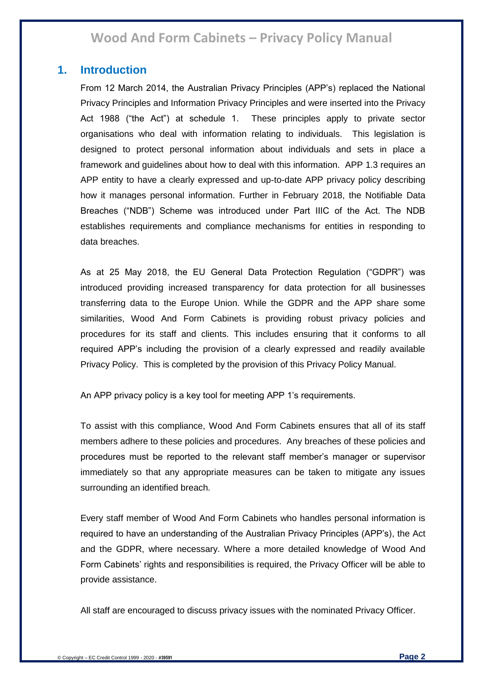### **1. Introduction**

From 12 March 2014, the Australian Privacy Principles (APP's) replaced the National Privacy Principles and Information Privacy Principles and were inserted into the Privacy Act 1988 ("the Act") at schedule 1. These principles apply to private sector organisations who deal with information relating to individuals. This legislation is designed to protect personal information about individuals and sets in place a framework and guidelines about how to deal with this information. APP 1.3 requires an APP entity to have a clearly expressed and up-to-date APP privacy policy describing how it manages personal information. Further in February 2018, the Notifiable Data Breaches ("NDB") Scheme was introduced under Part IIIC of the Act. The NDB establishes requirements and compliance mechanisms for entities in responding to data breaches.

As at 25 May 2018, the EU General Data Protection Regulation ("GDPR") was introduced providing increased transparency for data protection for all businesses transferring data to the Europe Union. While the GDPR and the APP share some similarities, Wood And Form Cabinets is providing robust privacy policies and procedures for its staff and clients. This includes ensuring that it conforms to all required APP's including the provision of a clearly expressed and readily available Privacy Policy. This is completed by the provision of this Privacy Policy Manual.

An APP privacy policy is a key tool for meeting APP 1's requirements.

To assist with this compliance, Wood And Form Cabinets ensures that all of its staff members adhere to these policies and procedures. Any breaches of these policies and procedures must be reported to the relevant staff member's manager or supervisor immediately so that any appropriate measures can be taken to mitigate any issues surrounding an identified breach.

Every staff member of Wood And Form Cabinets who handles personal information is required to have an understanding of the Australian Privacy Principles (APP's), the Act and the GDPR, where necessary. Where a more detailed knowledge of Wood And Form Cabinets' rights and responsibilities is required, the Privacy Officer will be able to provide assistance.

All staff are encouraged to discuss privacy issues with the nominated Privacy Officer.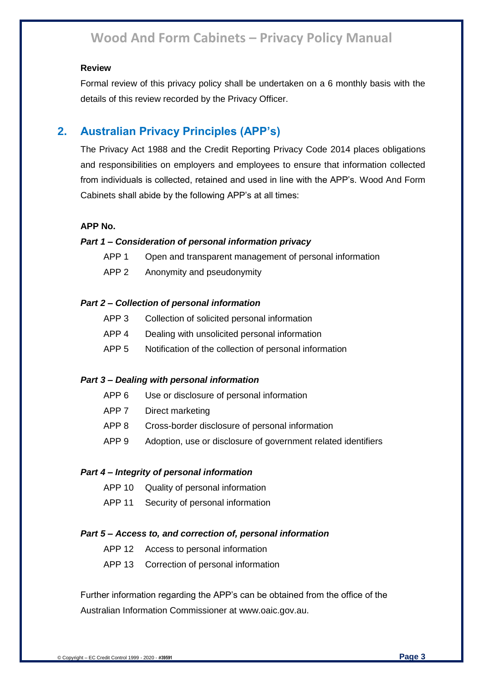#### **Review**

Formal review of this privacy policy shall be undertaken on a 6 monthly basis with the details of this review recorded by the Privacy Officer.

### **2. Australian Privacy Principles (APP's)**

The Privacy Act 1988 and the Credit Reporting Privacy Code 2014 places obligations and responsibilities on employers and employees to ensure that information collected from individuals is collected, retained and used in line with the APP's. Wood And Form Cabinets shall abide by the following APP's at all times:

#### **APP No.**

#### *Part 1 – Consideration of personal information privacy*

- APP 1 Open and transparent management of personal information
- APP 2 Anonymity and pseudonymity

#### *Part 2 – Collection of personal information*

- APP 3 Collection of solicited personal information
- APP 4 Dealing with unsolicited personal information
- APP 5 Notification of the collection of personal information

#### *Part 3 – Dealing with personal information*

- APP 6 Use or disclosure of personal information
- APP 7 Direct marketing
- APP 8 Cross-border disclosure of personal information
- APP 9 Adoption, use or disclosure of government related identifiers

#### *Part 4 – Integrity of personal information*

- APP 10 Quality of personal information
- APP 11 Security of personal information

#### *Part 5 – Access to, and correction of, personal information*

- APP 12 Access to personal information
- APP 13 Correction of personal information

Further information regarding the APP's can be obtained from the office of the Australian Information Commissioner at www.oaic.gov.au.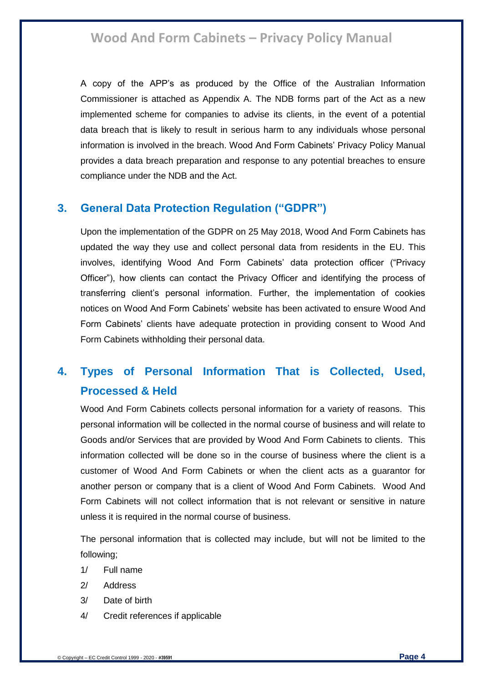A copy of the APP's as produced by the Office of the Australian Information Commissioner is attached as Appendix A. The NDB forms part of the Act as a new implemented scheme for companies to advise its clients, in the event of a potential data breach that is likely to result in serious harm to any individuals whose personal information is involved in the breach. Wood And Form Cabinets' Privacy Policy Manual provides a data breach preparation and response to any potential breaches to ensure compliance under the NDB and the Act.

### **3. General Data Protection Regulation ("GDPR")**

Upon the implementation of the GDPR on 25 May 2018, Wood And Form Cabinets has updated the way they use and collect personal data from residents in the EU. This involves, identifying Wood And Form Cabinets' data protection officer ("Privacy Officer"), how clients can contact the Privacy Officer and identifying the process of transferring client's personal information. Further, the implementation of cookies notices on Wood And Form Cabinets' website has been activated to ensure Wood And Form Cabinets' clients have adequate protection in providing consent to Wood And Form Cabinets withholding their personal data.

### **4. Types of Personal Information That is Collected, Used, Processed & Held**

Wood And Form Cabinets collects personal information for a variety of reasons. This personal information will be collected in the normal course of business and will relate to Goods and/or Services that are provided by Wood And Form Cabinets to clients. This information collected will be done so in the course of business where the client is a customer of Wood And Form Cabinets or when the client acts as a guarantor for another person or company that is a client of Wood And Form Cabinets. Wood And Form Cabinets will not collect information that is not relevant or sensitive in nature unless it is required in the normal course of business.

The personal information that is collected may include, but will not be limited to the following;

- 1/ Full name
- 2/ Address
- 3/ Date of birth
- 4/ Credit references if applicable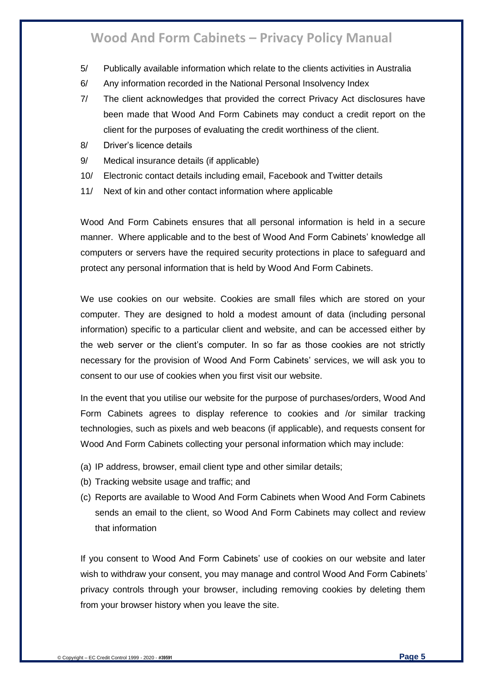- 5/ Publically available information which relate to the clients activities in Australia
- 6/ Any information recorded in the National Personal Insolvency Index
- 7/ The client acknowledges that provided the correct Privacy Act disclosures have been made that Wood And Form Cabinets may conduct a credit report on the client for the purposes of evaluating the credit worthiness of the client.
- 8/ Driver's licence details
- 9/ Medical insurance details (if applicable)
- 10/ Electronic contact details including email, Facebook and Twitter details
- 11/ Next of kin and other contact information where applicable

Wood And Form Cabinets ensures that all personal information is held in a secure manner. Where applicable and to the best of Wood And Form Cabinets' knowledge all computers or servers have the required security protections in place to safeguard and protect any personal information that is held by Wood And Form Cabinets.

We use cookies on our website. Cookies are small files which are stored on your computer. They are designed to hold a modest amount of data (including personal information) specific to a particular client and website, and can be accessed either by the web server or the client's computer. In so far as those cookies are not strictly necessary for the provision of Wood And Form Cabinets' services, we will ask you to consent to our use of cookies when you first visit our website.

In the event that you utilise our website for the purpose of purchases/orders, Wood And Form Cabinets agrees to display reference to cookies and /or similar tracking technologies, such as pixels and web beacons (if applicable), and requests consent for Wood And Form Cabinets collecting your personal information which may include:

- (a) IP address, browser, email client type and other similar details;
- (b) Tracking website usage and traffic; and
- (c) Reports are available to Wood And Form Cabinets when Wood And Form Cabinets sends an email to the client, so Wood And Form Cabinets may collect and review that information

If you consent to Wood And Form Cabinets' use of cookies on our website and later wish to withdraw your consent, you may manage and control Wood And Form Cabinets' privacy controls through your browser, including removing cookies by deleting them from your browser history when you leave the site.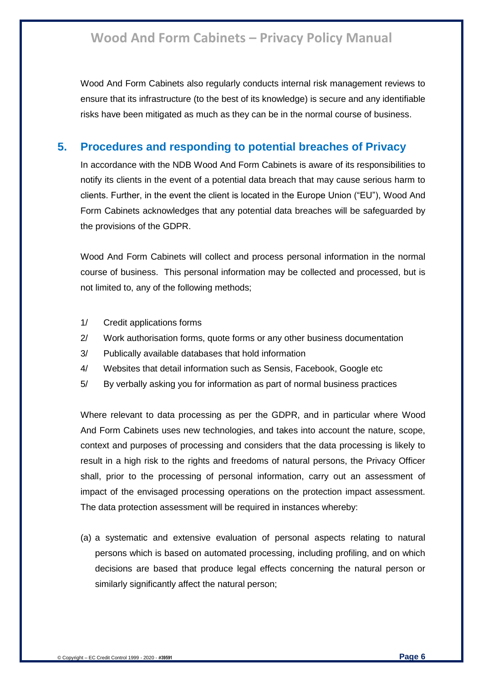Wood And Form Cabinets also regularly conducts internal risk management reviews to ensure that its infrastructure (to the best of its knowledge) is secure and any identifiable risks have been mitigated as much as they can be in the normal course of business.

### **5. Procedures and responding to potential breaches of Privacy**

In accordance with the NDB Wood And Form Cabinets is aware of its responsibilities to notify its clients in the event of a potential data breach that may cause serious harm to clients. Further, in the event the client is located in the Europe Union ("EU"), Wood And Form Cabinets acknowledges that any potential data breaches will be safeguarded by the provisions of the GDPR.

Wood And Form Cabinets will collect and process personal information in the normal course of business. This personal information may be collected and processed, but is not limited to, any of the following methods;

- 1/ Credit applications forms
- 2/ Work authorisation forms, quote forms or any other business documentation
- 3/ Publically available databases that hold information
- 4/ Websites that detail information such as Sensis, Facebook, Google etc
- 5/ By verbally asking you for information as part of normal business practices

Where relevant to data processing as per the GDPR, and in particular where Wood And Form Cabinets uses new technologies, and takes into account the nature, scope, context and purposes of processing and considers that the data processing is likely to result in a high risk to the rights and freedoms of natural persons, the Privacy Officer shall, prior to the processing of personal information, carry out an assessment of impact of the envisaged processing operations on the protection impact assessment. The data protection assessment will be required in instances whereby:

(a) a systematic and extensive evaluation of personal aspects relating to natural persons which is based on automated processing, including profiling, and on which decisions are based that produce legal effects concerning the natural person or similarly significantly affect the natural person;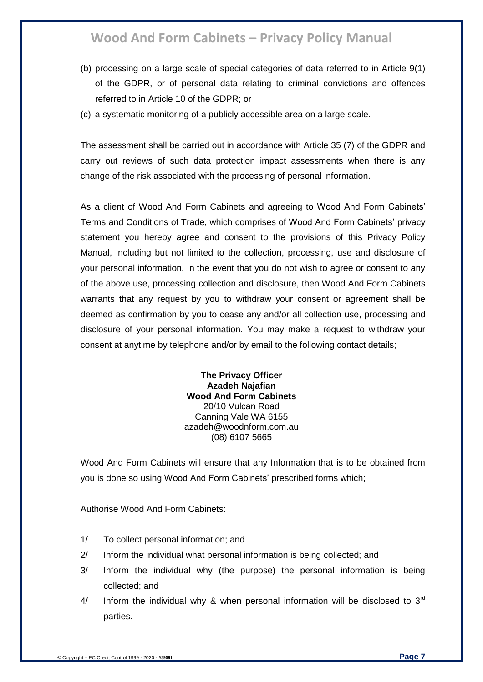- (b) processing on a large scale of special categories of data referred to in [Article 9\(](https://gdpr-info.eu/art-9-gdpr/)1) of the GDPR, or of personal data relating to criminal convictions and offences referred to in [Article 10](https://gdpr-info.eu/art-10-gdpr/) of the GDPR; or
- (c) a systematic monitoring of a publicly accessible area on a large scale.

The assessment shall be carried out in accordance with Article 35 (7) of the GDPR and carry out reviews of such data protection impact assessments when there is any change of the risk associated with the processing of personal information.

As a client of Wood And Form Cabinets and agreeing to Wood And Form Cabinets' Terms and Conditions of Trade, which comprises of Wood And Form Cabinets' privacy statement you hereby agree and consent to the provisions of this Privacy Policy Manual, including but not limited to the collection, processing, use and disclosure of your personal information. In the event that you do not wish to agree or consent to any of the above use, processing collection and disclosure, then Wood And Form Cabinets warrants that any request by you to withdraw your consent or agreement shall be deemed as confirmation by you to cease any and/or all collection use, processing and disclosure of your personal information. You may make a request to withdraw your consent at anytime by telephone and/or by email to the following contact details;

> **The Privacy Officer Azadeh Najafian Wood And Form Cabinets** 20/10 Vulcan Road Canning Vale WA 6155 azadeh@woodnform.com.au (08) 6107 5665

Wood And Form Cabinets will ensure that any Information that is to be obtained from you is done so using Wood And Form Cabinets' prescribed forms which;

Authorise Wood And Form Cabinets:

- 1/ To collect personal information; and
- 2/ Inform the individual what personal information is being collected; and
- 3/ Inform the individual why (the purpose) the personal information is being collected; and
- 4/ Inform the individual why & when personal information will be disclosed to  $3<sup>rd</sup>$ parties.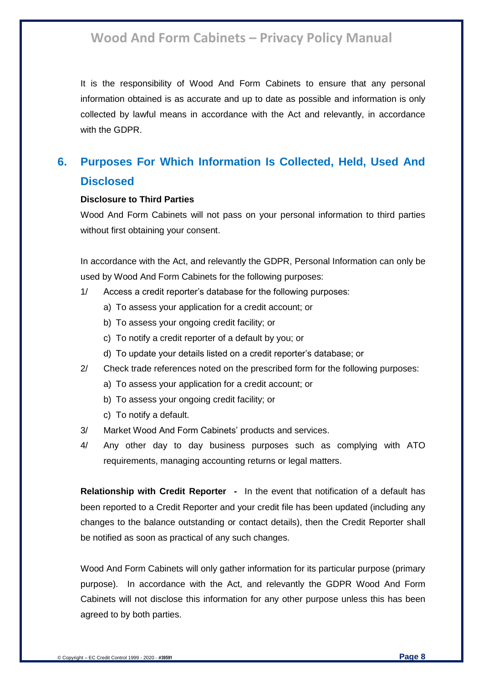It is the responsibility of Wood And Form Cabinets to ensure that any personal information obtained is as accurate and up to date as possible and information is only collected by lawful means in accordance with the Act and relevantly, in accordance with the GDPR.

### **6. Purposes For Which Information Is Collected, Held, Used And Disclosed**

#### **Disclosure to Third Parties**

Wood And Form Cabinets will not pass on your personal information to third parties without first obtaining your consent.

In accordance with the Act, and relevantly the GDPR, Personal Information can only be used by Wood And Form Cabinets for the following purposes:

- 1/ Access a credit reporter's database for the following purposes:
	- a) To assess your application for a credit account; or
	- b) To assess your ongoing credit facility; or
	- c) To notify a credit reporter of a default by you; or
	- d) To update your details listed on a credit reporter's database; or
- 2/ Check trade references noted on the prescribed form for the following purposes:
	- a) To assess your application for a credit account; or
	- b) To assess your ongoing credit facility; or
	- c) To notify a default.
- 3/ Market Wood And Form Cabinets' products and services.
- 4/ Any other day to day business purposes such as complying with ATO requirements, managing accounting returns or legal matters.

**Relationship with Credit Reporter -** In the event that notification of a default has been reported to a Credit Reporter and your credit file has been updated (including any changes to the balance outstanding or contact details), then the Credit Reporter shall be notified as soon as practical of any such changes.

Wood And Form Cabinets will only gather information for its particular purpose (primary purpose). In accordance with the Act, and relevantly the GDPR Wood And Form Cabinets will not disclose this information for any other purpose unless this has been agreed to by both parties.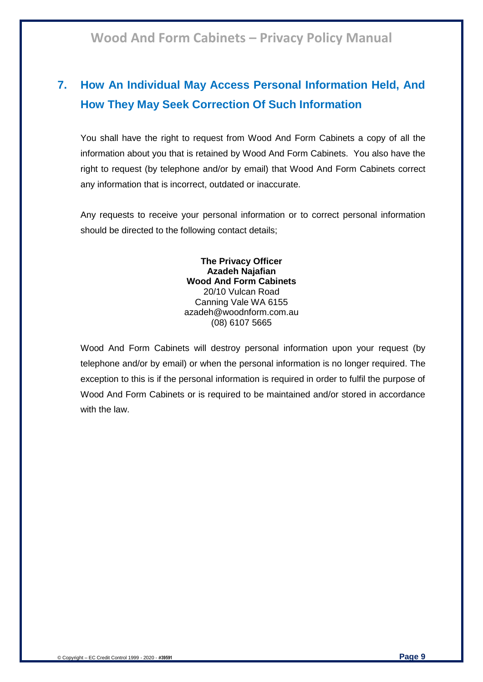### **7. How An Individual May Access Personal Information Held, And How They May Seek Correction Of Such Information**

You shall have the right to request from Wood And Form Cabinets a copy of all the information about you that is retained by Wood And Form Cabinets. You also have the right to request (by telephone and/or by email) that Wood And Form Cabinets correct any information that is incorrect, outdated or inaccurate.

Any requests to receive your personal information or to correct personal information should be directed to the following contact details;

> **The Privacy Officer Azadeh Najafian Wood And Form Cabinets** 20/10 Vulcan Road Canning Vale WA 6155 azadeh@woodnform.com.au (08) 6107 5665

Wood And Form Cabinets will destroy personal information upon your request (by telephone and/or by email) or when the personal information is no longer required. The exception to this is if the personal information is required in order to fulfil the purpose of Wood And Form Cabinets or is required to be maintained and/or stored in accordance with the law.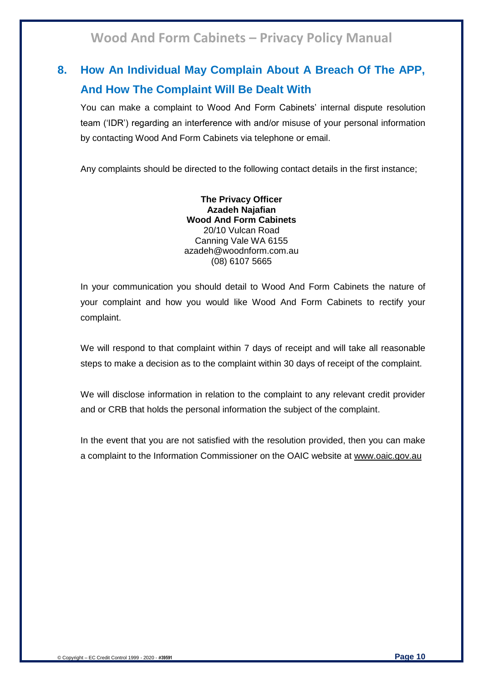### **8. How An Individual May Complain About A Breach Of The APP, And How The Complaint Will Be Dealt With**

You can make a complaint to Wood And Form Cabinets' internal dispute resolution team ('IDR') regarding an interference with and/or misuse of your personal information by contacting Wood And Form Cabinets via telephone or email.

Any complaints should be directed to the following contact details in the first instance;

**The Privacy Officer Azadeh Najafian Wood And Form Cabinets** 20/10 Vulcan Road Canning Vale WA 6155 azadeh@woodnform.com.au (08) 6107 5665

In your communication you should detail to Wood And Form Cabinets the nature of your complaint and how you would like Wood And Form Cabinets to rectify your complaint.

We will respond to that complaint within 7 days of receipt and will take all reasonable steps to make a decision as to the complaint within 30 days of receipt of the complaint.

We will disclose information in relation to the complaint to any relevant credit provider and or CRB that holds the personal information the subject of the complaint.

In the event that you are not satisfied with the resolution provided, then you can make a complaint to the Information Commissioner on the OAIC website at [www.oaic.gov.au](http://www.oaic.gov.au/)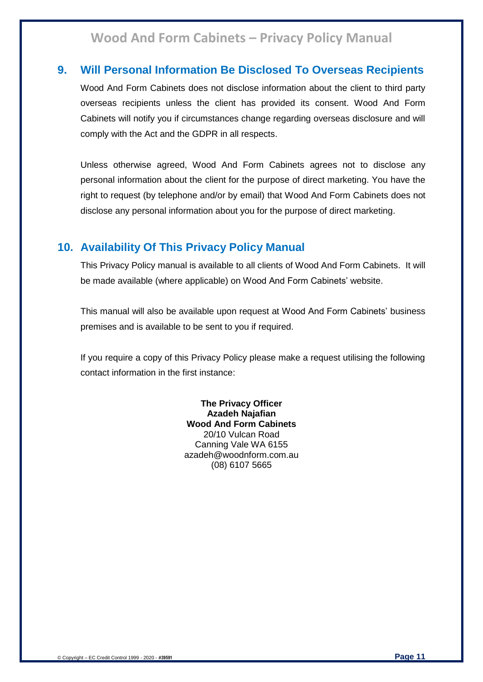### **9. Will Personal Information Be Disclosed To Overseas Recipients**

Wood And Form Cabinets does not disclose information about the client to third party overseas recipients unless the client has provided its consent. Wood And Form Cabinets will notify you if circumstances change regarding overseas disclosure and will comply with the Act and the GDPR in all respects.

Unless otherwise agreed, Wood And Form Cabinets agrees not to disclose any personal information about the client for the purpose of direct marketing. You have the right to request (by telephone and/or by email) that Wood And Form Cabinets does not disclose any personal information about you for the purpose of direct marketing.

### **10. Availability Of This Privacy Policy Manual**

This Privacy Policy manual is available to all clients of Wood And Form Cabinets. It will be made available (where applicable) on Wood And Form Cabinets' website.

This manual will also be available upon request at Wood And Form Cabinets' business premises and is available to be sent to you if required.

If you require a copy of this Privacy Policy please make a request utilising the following contact information in the first instance:

> **The Privacy Officer Azadeh Najafian Wood And Form Cabinets** 20/10 Vulcan Road Canning Vale WA 6155 azadeh@woodnform.com.au (08) 6107 5665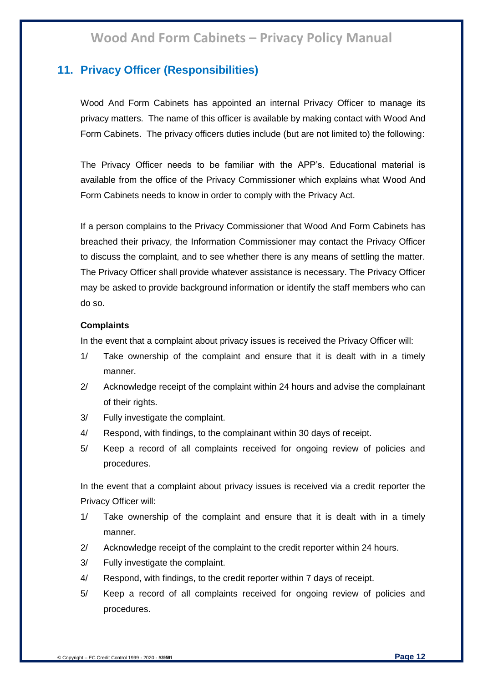### **11. Privacy Officer (Responsibilities)**

Wood And Form Cabinets has appointed an internal Privacy Officer to manage its privacy matters. The name of this officer is available by making contact with Wood And Form Cabinets. The privacy officers duties include (but are not limited to) the following:

The Privacy Officer needs to be familiar with the APP's. Educational material is available from the office of the Privacy Commissioner which explains what Wood And Form Cabinets needs to know in order to comply with the Privacy Act.

If a person complains to the Privacy Commissioner that Wood And Form Cabinets has breached their privacy, the Information Commissioner may contact the Privacy Officer to discuss the complaint, and to see whether there is any means of settling the matter. The Privacy Officer shall provide whatever assistance is necessary. The Privacy Officer may be asked to provide background information or identify the staff members who can do so.

#### **Complaints**

In the event that a complaint about privacy issues is received the Privacy Officer will:

- 1/ Take ownership of the complaint and ensure that it is dealt with in a timely manner.
- 2/ Acknowledge receipt of the complaint within 24 hours and advise the complainant of their rights.
- 3/ Fully investigate the complaint.
- 4/ Respond, with findings, to the complainant within 30 days of receipt.
- 5/ Keep a record of all complaints received for ongoing review of policies and procedures.

In the event that a complaint about privacy issues is received via a credit reporter the Privacy Officer will:

- 1/ Take ownership of the complaint and ensure that it is dealt with in a timely manner.
- 2/ Acknowledge receipt of the complaint to the credit reporter within 24 hours.
- 3/ Fully investigate the complaint.
- 4/ Respond, with findings, to the credit reporter within 7 days of receipt.
- 5/ Keep a record of all complaints received for ongoing review of policies and procedures.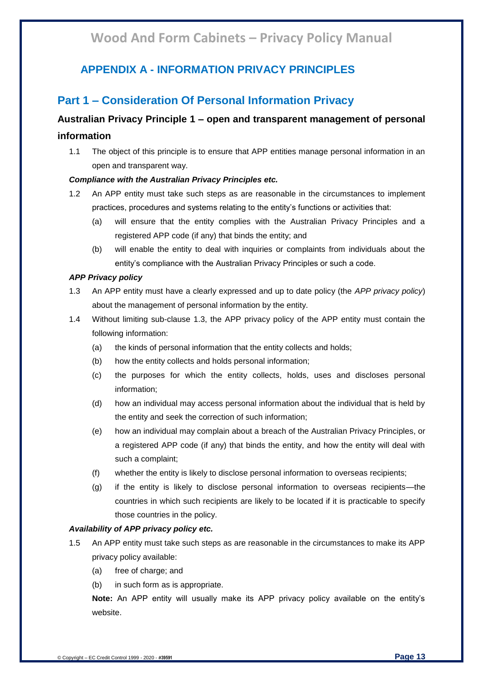### **APPENDIX A - INFORMATION PRIVACY PRINCIPLES**

### **Part 1 – Consideration Of Personal Information Privacy**

### **Australian Privacy Principle 1 – open and transparent management of personal information**

1.1 The object of this principle is to ensure that APP entities manage personal information in an open and transparent way.

#### *Compliance with the Australian Privacy Principles etc.*

- 1.2 An APP entity must take such steps as are reasonable in the circumstances to implement practices, procedures and systems relating to the entity's functions or activities that:
	- (a) will ensure that the entity complies with the Australian Privacy Principles and a registered APP code (if any) that binds the entity; and
	- (b) will enable the entity to deal with inquiries or complaints from individuals about the entity's compliance with the Australian Privacy Principles or such a code.

#### *APP Privacy policy*

- 1.3 An APP entity must have a clearly expressed and up to date policy (the *APP privacy policy*) about the management of personal information by the entity.
- 1.4 Without limiting sub-clause 1.3, the APP privacy policy of the APP entity must contain the following information:
	- (a) the kinds of personal information that the entity collects and holds;
	- (b) how the entity collects and holds personal information;
	- (c) the purposes for which the entity collects, holds, uses and discloses personal information;
	- (d) how an individual may access personal information about the individual that is held by the entity and seek the correction of such information;
	- (e) how an individual may complain about a breach of the Australian Privacy Principles, or a registered APP code (if any) that binds the entity, and how the entity will deal with such a complaint;
	- (f) whether the entity is likely to disclose personal information to overseas recipients;
	- (g) if the entity is likely to disclose personal information to overseas recipients—the countries in which such recipients are likely to be located if it is practicable to specify those countries in the policy.

#### *Availability of APP privacy policy etc.*

- 1.5 An APP entity must take such steps as are reasonable in the circumstances to make its APP privacy policy available:
	- (a) free of charge; and
	- (b) in such form as is appropriate.

**Note:** An APP entity will usually make its APP privacy policy available on the entity's website.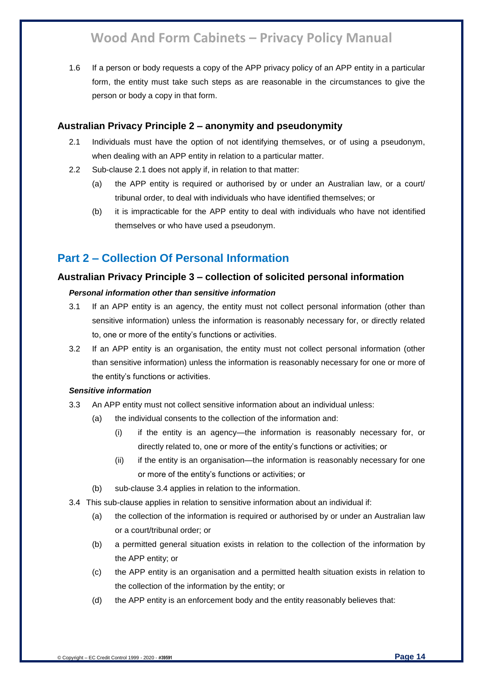1.6 If a person or body requests a copy of the APP privacy policy of an APP entity in a particular form, the entity must take such steps as are reasonable in the circumstances to give the person or body a copy in that form.

#### **Australian Privacy Principle 2 – anonymity and pseudonymity**

- 2.1 Individuals must have the option of not identifying themselves, or of using a pseudonym, when dealing with an APP entity in relation to a particular matter.
- 2.2 Sub-clause 2.1 does not apply if, in relation to that matter:
	- (a) the APP entity is required or authorised by or under an Australian law, or a court/ tribunal order, to deal with individuals who have identified themselves; or
	- (b) it is impracticable for the APP entity to deal with individuals who have not identified themselves or who have used a pseudonym.

### **Part 2 – Collection Of Personal Information**

#### **Australian Privacy Principle 3 – collection of solicited personal information**

#### *Personal information other than sensitive information*

- 3.1 If an APP entity is an agency, the entity must not collect personal information (other than sensitive information) unless the information is reasonably necessary for, or directly related to, one or more of the entity's functions or activities.
- 3.2 If an APP entity is an organisation, the entity must not collect personal information (other than sensitive information) unless the information is reasonably necessary for one or more of the entity's functions or activities.

#### *Sensitive information*

- 3.3 An APP entity must not collect sensitive information about an individual unless:
	- (a) the individual consents to the collection of the information and:
		- (i) if the entity is an agency—the information is reasonably necessary for, or directly related to, one or more of the entity's functions or activities; or
		- (ii) if the entity is an organisation—the information is reasonably necessary for one or more of the entity's functions or activities; or
	- (b) sub-clause 3.4 applies in relation to the information.
- 3.4 This sub-clause applies in relation to sensitive information about an individual if:
	- (a) the collection of the information is required or authorised by or under an Australian law or a court/tribunal order; or
	- (b) a permitted general situation exists in relation to the collection of the information by the APP entity; or
	- (c) the APP entity is an organisation and a permitted health situation exists in relation to the collection of the information by the entity; or
	- (d) the APP entity is an enforcement body and the entity reasonably believes that: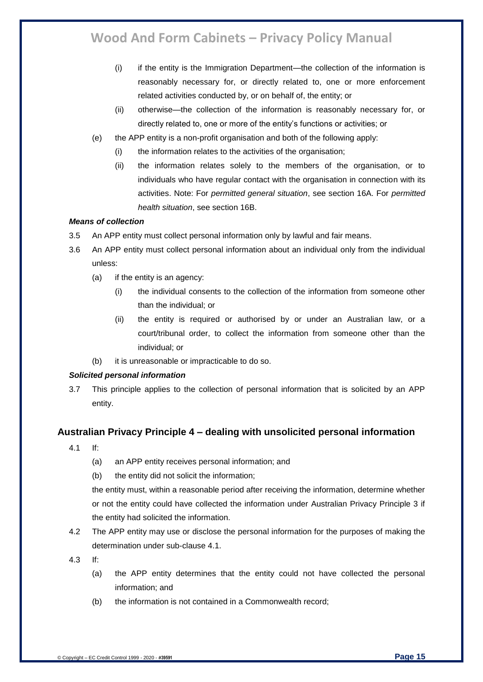- (i) if the entity is the Immigration Department—the collection of the information is reasonably necessary for, or directly related to, one or more enforcement related activities conducted by, or on behalf of, the entity; or
- (ii) otherwise—the collection of the information is reasonably necessary for, or directly related to, one or more of the entity's functions or activities; or
- (e) the APP entity is a non-profit organisation and both of the following apply:
	- (i) the information relates to the activities of the organisation;
	- (ii) the information relates solely to the members of the organisation, or to individuals who have regular contact with the organisation in connection with its activities. Note: For *permitted general situation*, see section 16A. For *permitted health situation*, see section 16B.

#### *Means of collection*

- 3.5 An APP entity must collect personal information only by lawful and fair means.
- 3.6 An APP entity must collect personal information about an individual only from the individual unless:
	- (a) if the entity is an agency:
		- (i) the individual consents to the collection of the information from someone other than the individual; or
		- (ii) the entity is required or authorised by or under an Australian law, or a court/tribunal order, to collect the information from someone other than the individual; or
	- (b) it is unreasonable or impracticable to do so.

#### *Solicited personal information*

3.7 This principle applies to the collection of personal information that is solicited by an APP entity.

#### **Australian Privacy Principle 4 – dealing with unsolicited personal information**

- 4.1 If:
	- (a) an APP entity receives personal information; and
	- (b) the entity did not solicit the information;

the entity must, within a reasonable period after receiving the information, determine whether or not the entity could have collected the information under Australian Privacy Principle 3 if the entity had solicited the information.

- 4.2 The APP entity may use or disclose the personal information for the purposes of making the determination under sub-clause 4.1.
- 4.3 If:
	- (a) the APP entity determines that the entity could not have collected the personal information; and
	- (b) the information is not contained in a Commonwealth record;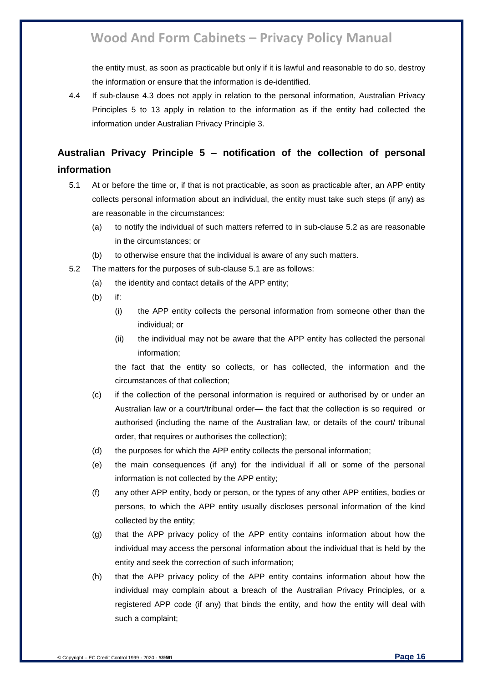the entity must, as soon as practicable but only if it is lawful and reasonable to do so, destroy the information or ensure that the information is de-identified.

4.4 If sub-clause 4.3 does not apply in relation to the personal information, Australian Privacy Principles 5 to 13 apply in relation to the information as if the entity had collected the information under Australian Privacy Principle 3.

### **Australian Privacy Principle 5 – notification of the collection of personal information**

- 5.1 At or before the time or, if that is not practicable, as soon as practicable after, an APP entity collects personal information about an individual, the entity must take such steps (if any) as are reasonable in the circumstances:
	- (a) to notify the individual of such matters referred to in sub-clause 5.2 as are reasonable in the circumstances; or
	- (b) to otherwise ensure that the individual is aware of any such matters.
- 5.2 The matters for the purposes of sub-clause 5.1 are as follows:
	- (a) the identity and contact details of the APP entity;
	- (b) if:
		- (i) the APP entity collects the personal information from someone other than the individual; or
		- (ii) the individual may not be aware that the APP entity has collected the personal information;

the fact that the entity so collects, or has collected, the information and the circumstances of that collection;

- (c) if the collection of the personal information is required or authorised by or under an Australian law or a court/tribunal order— the fact that the collection is so required or authorised (including the name of the Australian law, or details of the court/ tribunal order, that requires or authorises the collection);
- (d) the purposes for which the APP entity collects the personal information;
- (e) the main consequences (if any) for the individual if all or some of the personal information is not collected by the APP entity;
- (f) any other APP entity, body or person, or the types of any other APP entities, bodies or persons, to which the APP entity usually discloses personal information of the kind collected by the entity;
- (g) that the APP privacy policy of the APP entity contains information about how the individual may access the personal information about the individual that is held by the entity and seek the correction of such information;
- (h) that the APP privacy policy of the APP entity contains information about how the individual may complain about a breach of the Australian Privacy Principles, or a registered APP code (if any) that binds the entity, and how the entity will deal with such a complaint;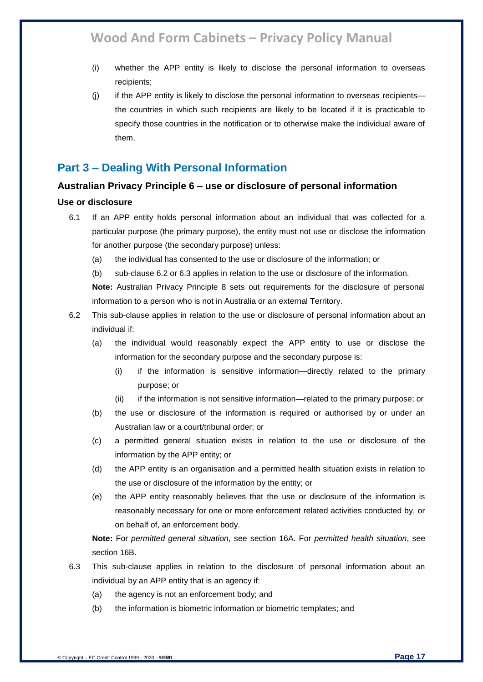- (i) whether the APP entity is likely to disclose the personal information to overseas recipients;
- (i) if the APP entity is likely to disclose the personal information to overseas recipients the countries in which such recipients are likely to be located if it is practicable to specify those countries in the notification or to otherwise make the individual aware of them.

#### **Part 3 – Dealing With Personal Information**

#### **Australian Privacy Principle 6 – use or disclosure of personal information**

#### **Use or disclosure**

- 6.1 If an APP entity holds personal information about an individual that was collected for a particular purpose (the primary purpose), the entity must not use or disclose the information for another purpose (the secondary purpose) unless:
	- (a) the individual has consented to the use or disclosure of the information; or
	- (b) sub-clause 6.2 or 6.3 applies in relation to the use or disclosure of the information.

**Note:** Australian Privacy Principle 8 sets out requirements for the disclosure of personal information to a person who is not in Australia or an external Territory.

- 6.2 This sub-clause applies in relation to the use or disclosure of personal information about an individual if:
	- (a) the individual would reasonably expect the APP entity to use or disclose the information for the secondary purpose and the secondary purpose is:
		- (i) if the information is sensitive information—directly related to the primary purpose; or
		- (ii) if the information is not sensitive information—related to the primary purpose; or
	- (b) the use or disclosure of the information is required or authorised by or under an Australian law or a court/tribunal order; or
	- (c) a permitted general situation exists in relation to the use or disclosure of the information by the APP entity; or
	- (d) the APP entity is an organisation and a permitted health situation exists in relation to the use or disclosure of the information by the entity; or
	- (e) the APP entity reasonably believes that the use or disclosure of the information is reasonably necessary for one or more enforcement related activities conducted by, or on behalf of, an enforcement body.

**Note:** For *permitted general situation*, see section 16A. For *permitted health situation*, see section 16B.

- 6.3 This sub-clause applies in relation to the disclosure of personal information about an individual by an APP entity that is an agency if:
	- (a) the agency is not an enforcement body; and
	- (b) the information is biometric information or biometric templates; and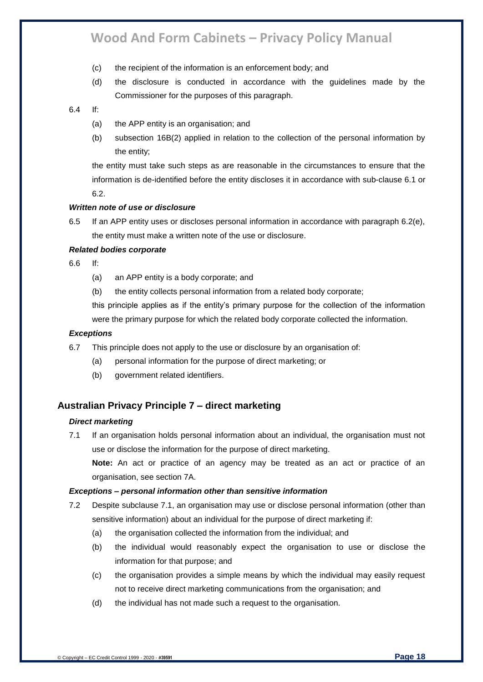- (c) the recipient of the information is an enforcement body; and
- (d) the disclosure is conducted in accordance with the guidelines made by the Commissioner for the purposes of this paragraph.

#### 6.4 If:

- (a) the APP entity is an organisation; and
- (b) subsection 16B(2) applied in relation to the collection of the personal information by the entity;

the entity must take such steps as are reasonable in the circumstances to ensure that the information is de-identified before the entity discloses it in accordance with sub-clause 6.1 or 6.2.

#### *Written note of use or disclosure*

6.5 If an APP entity uses or discloses personal information in accordance with paragraph 6.2(e), the entity must make a written note of the use or disclosure.

#### *Related bodies corporate*

6.6 If:

- (a) an APP entity is a body corporate; and
- (b) the entity collects personal information from a related body corporate;

this principle applies as if the entity's primary purpose for the collection of the information were the primary purpose for which the related body corporate collected the information.

#### *Exceptions*

- 6.7 This principle does not apply to the use or disclosure by an organisation of:
	- (a) personal information for the purpose of direct marketing; or
	- (b) government related identifiers.

#### **Australian Privacy Principle 7 – direct marketing**

#### *Direct marketing*

7.1 If an organisation holds personal information about an individual, the organisation must not use or disclose the information for the purpose of direct marketing.

**Note:** An act or practice of an agency may be treated as an act or practice of an organisation, see section 7A.

#### *Exceptions – personal information other than sensitive information*

- 7.2 Despite subclause 7.1, an organisation may use or disclose personal information (other than sensitive information) about an individual for the purpose of direct marketing if:
	- (a) the organisation collected the information from the individual; and
	- (b) the individual would reasonably expect the organisation to use or disclose the information for that purpose; and
	- (c) the organisation provides a simple means by which the individual may easily request not to receive direct marketing communications from the organisation; and
	- (d) the individual has not made such a request to the organisation.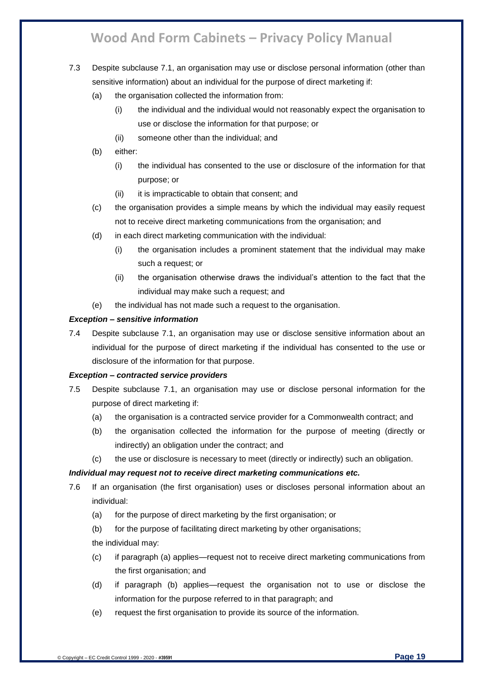- 7.3 Despite subclause 7.1, an organisation may use or disclose personal information (other than sensitive information) about an individual for the purpose of direct marketing if:
	- (a) the organisation collected the information from:
		- (i) the individual and the individual would not reasonably expect the organisation to use or disclose the information for that purpose; or
		- (ii) someone other than the individual; and
	- (b) either:
		- (i) the individual has consented to the use or disclosure of the information for that purpose; or
		- (ii) it is impracticable to obtain that consent; and
	- (c) the organisation provides a simple means by which the individual may easily request not to receive direct marketing communications from the organisation; and
	- (d) in each direct marketing communication with the individual:
		- (i) the organisation includes a prominent statement that the individual may make such a request; or
		- (ii) the organisation otherwise draws the individual's attention to the fact that the individual may make such a request; and
	- (e) the individual has not made such a request to the organisation.

#### *Exception – sensitive information*

7.4 Despite subclause 7.1, an organisation may use or disclose sensitive information about an individual for the purpose of direct marketing if the individual has consented to the use or disclosure of the information for that purpose.

#### *Exception – contracted service providers*

- 7.5 Despite subclause 7.1, an organisation may use or disclose personal information for the purpose of direct marketing if:
	- (a) the organisation is a contracted service provider for a Commonwealth contract; and
	- (b) the organisation collected the information for the purpose of meeting (directly or indirectly) an obligation under the contract; and
	- (c) the use or disclosure is necessary to meet (directly or indirectly) such an obligation.

#### *Individual may request not to receive direct marketing communications etc.*

- 7.6 If an organisation (the first organisation) uses or discloses personal information about an individual:
	- (a) for the purpose of direct marketing by the first organisation; or
	- (b) for the purpose of facilitating direct marketing by other organisations;
	- the individual may:
	- (c) if paragraph (a) applies—request not to receive direct marketing communications from the first organisation; and
	- (d) if paragraph (b) applies—request the organisation not to use or disclose the information for the purpose referred to in that paragraph; and
	- (e) request the first organisation to provide its source of the information.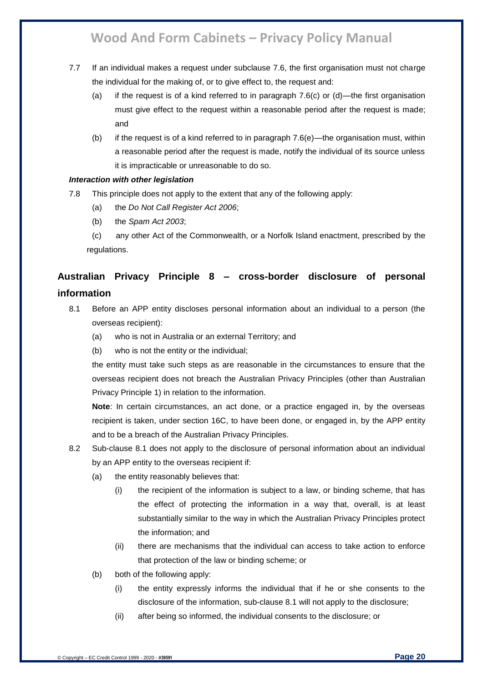- 7.7 If an individual makes a request under subclause 7.6, the first organisation must not charge the individual for the making of, or to give effect to, the request and:
	- (a) if the request is of a kind referred to in paragraph 7.6(c) or  $(d)$ —the first organisation must give effect to the request within a reasonable period after the request is made; and
	- (b) if the request is of a kind referred to in paragraph  $7.6(e)$ —the organisation must, within a reasonable period after the request is made, notify the individual of its source unless it is impracticable or unreasonable to do so.

#### *Interaction with other legislation*

7.8 This principle does not apply to the extent that any of the following apply:

- (a) the *Do Not Call Register Act 2006*;
- (b) the *Spam Act 2003*;

(c) any other Act of the Commonwealth, or a Norfolk Island enactment, prescribed by the regulations.

### **Australian Privacy Principle 8 – cross-border disclosure of personal information**

- 8.1 Before an APP entity discloses personal information about an individual to a person (the overseas recipient):
	- (a) who is not in Australia or an external Territory; and
	- (b) who is not the entity or the individual;

the entity must take such steps as are reasonable in the circumstances to ensure that the overseas recipient does not breach the Australian Privacy Principles (other than Australian Privacy Principle 1) in relation to the information.

**Note**: In certain circumstances, an act done, or a practice engaged in, by the overseas recipient is taken, under section 16C, to have been done, or engaged in, by the APP entity and to be a breach of the Australian Privacy Principles.

- 8.2 Sub-clause 8.1 does not apply to the disclosure of personal information about an individual by an APP entity to the overseas recipient if:
	- (a) the entity reasonably believes that:
		- (i) the recipient of the information is subject to a law, or binding scheme, that has the effect of protecting the information in a way that, overall, is at least substantially similar to the way in which the Australian Privacy Principles protect the information; and
		- (ii) there are mechanisms that the individual can access to take action to enforce that protection of the law or binding scheme; or
	- (b) both of the following apply:
		- (i) the entity expressly informs the individual that if he or she consents to the disclosure of the information, sub-clause 8.1 will not apply to the disclosure;
		- (ii) after being so informed, the individual consents to the disclosure; or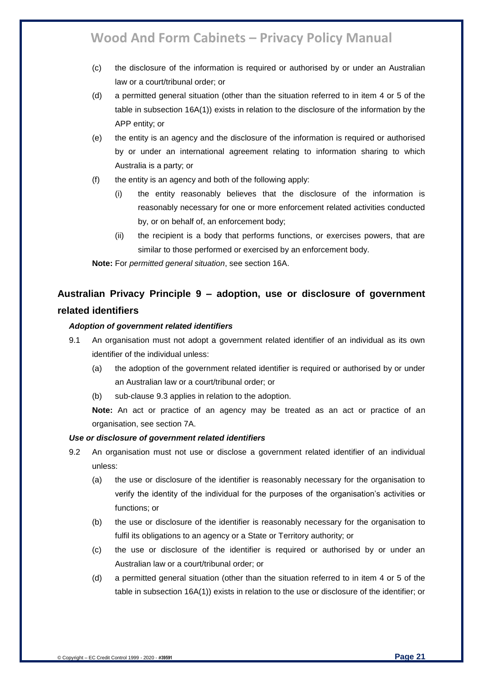- (c) the disclosure of the information is required or authorised by or under an Australian law or a court/tribunal order; or
- (d) a permitted general situation (other than the situation referred to in item 4 or 5 of the table in subsection 16A(1)) exists in relation to the disclosure of the information by the APP entity; or
- (e) the entity is an agency and the disclosure of the information is required or authorised by or under an international agreement relating to information sharing to which Australia is a party; or
- (f) the entity is an agency and both of the following apply:
	- (i) the entity reasonably believes that the disclosure of the information is reasonably necessary for one or more enforcement related activities conducted by, or on behalf of, an enforcement body;
	- (ii) the recipient is a body that performs functions, or exercises powers, that are similar to those performed or exercised by an enforcement body.

**Note:** For *permitted general situation*, see section 16A.

### **Australian Privacy Principle 9 – adoption, use or disclosure of government related identifiers**

#### *Adoption of government related identifiers*

- 9.1 An organisation must not adopt a government related identifier of an individual as its own identifier of the individual unless:
	- (a) the adoption of the government related identifier is required or authorised by or under an Australian law or a court/tribunal order; or
	- (b) sub-clause 9.3 applies in relation to the adoption.

**Note:** An act or practice of an agency may be treated as an act or practice of an organisation, see section 7A.

#### *Use or disclosure of government related identifiers*

- 9.2 An organisation must not use or disclose a government related identifier of an individual unless:
	- (a) the use or disclosure of the identifier is reasonably necessary for the organisation to verify the identity of the individual for the purposes of the organisation's activities or functions; or
	- (b) the use or disclosure of the identifier is reasonably necessary for the organisation to fulfil its obligations to an agency or a State or Territory authority; or
	- (c) the use or disclosure of the identifier is required or authorised by or under an Australian law or a court/tribunal order; or
	- (d) a permitted general situation (other than the situation referred to in item 4 or 5 of the table in subsection 16A(1)) exists in relation to the use or disclosure of the identifier; or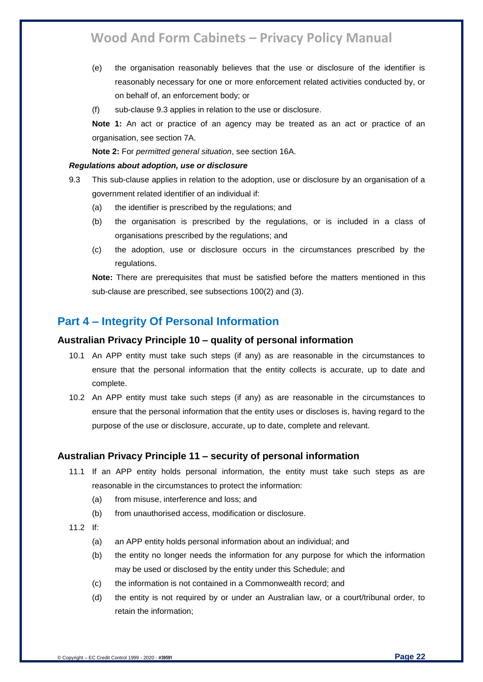- (e) the organisation reasonably believes that the use or disclosure of the identifier is reasonably necessary for one or more enforcement related activities conducted by, or on behalf of, an enforcement body; or
- (f) sub-clause 9.3 applies in relation to the use or disclosure.

**Note 1:** An act or practice of an agency may be treated as an act or practice of an organisation, see section 7A.

**Note 2:** For *permitted general situation*, see section 16A.

#### *Regulations about adoption, use or disclosure*

- 9.3 This sub-clause applies in relation to the adoption, use or disclosure by an organisation of a government related identifier of an individual if:
	- (a) the identifier is prescribed by the regulations; and
	- (b) the organisation is prescribed by the regulations, or is included in a class of organisations prescribed by the regulations; and
	- (c) the adoption, use or disclosure occurs in the circumstances prescribed by the regulations.

**Note:** There are prerequisites that must be satisfied before the matters mentioned in this sub-clause are prescribed, see subsections 100(2) and (3).

#### **Part 4 – Integrity Of Personal Information**

#### **Australian Privacy Principle 10 – quality of personal information**

- 10.1 An APP entity must take such steps (if any) as are reasonable in the circumstances to ensure that the personal information that the entity collects is accurate, up to date and complete.
- 10.2 An APP entity must take such steps (if any) as are reasonable in the circumstances to ensure that the personal information that the entity uses or discloses is, having regard to the purpose of the use or disclosure, accurate, up to date, complete and relevant.

#### **Australian Privacy Principle 11 – security of personal information**

- 11.1 If an APP entity holds personal information, the entity must take such steps as are reasonable in the circumstances to protect the information:
	- (a) from misuse, interference and loss; and
	- (b) from unauthorised access, modification or disclosure.
- 11.2 If:
	- (a) an APP entity holds personal information about an individual; and
	- (b) the entity no longer needs the information for any purpose for which the information may be used or disclosed by the entity under this Schedule; and
	- (c) the information is not contained in a Commonwealth record; and
	- (d) the entity is not required by or under an Australian law, or a court/tribunal order, to retain the information;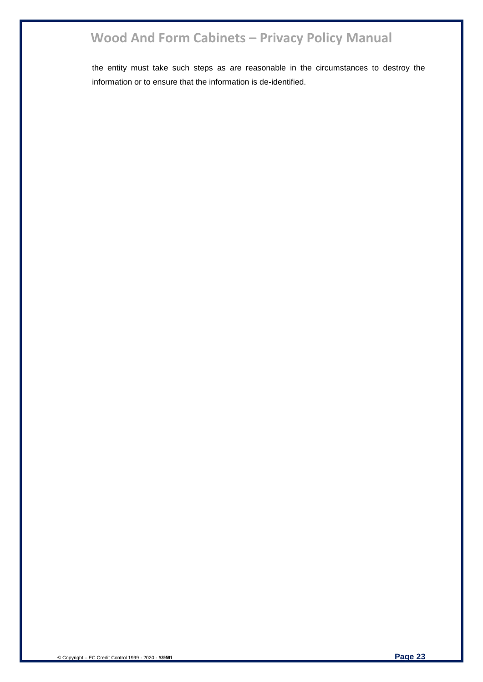the entity must take such steps as are reasonable in the circumstances to destroy the information or to ensure that the information is de-identified.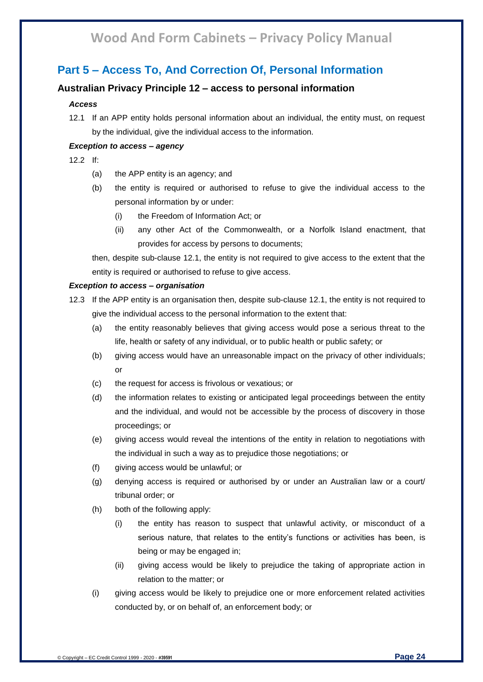### **Part 5 – Access To, And Correction Of, Personal Information**

#### **Australian Privacy Principle 12 – access to personal information**

#### *Access*

12.1 If an APP entity holds personal information about an individual, the entity must, on request by the individual, give the individual access to the information.

#### *Exception to access – agency*

- 12.2 If:
	- (a) the APP entity is an agency; and
	- (b) the entity is required or authorised to refuse to give the individual access to the personal information by or under:
		- (i) the Freedom of Information Act; or
		- (ii) any other Act of the Commonwealth, or a Norfolk Island enactment, that provides for access by persons to documents;

then, despite sub-clause 12.1, the entity is not required to give access to the extent that the entity is required or authorised to refuse to give access.

#### *Exception to access – organisation*

- 12.3 If the APP entity is an organisation then, despite sub-clause 12.1, the entity is not required to give the individual access to the personal information to the extent that:
	- (a) the entity reasonably believes that giving access would pose a serious threat to the life, health or safety of any individual, or to public health or public safety; or
	- (b) giving access would have an unreasonable impact on the privacy of other individuals; or
	- (c) the request for access is frivolous or vexatious; or
	- (d) the information relates to existing or anticipated legal proceedings between the entity and the individual, and would not be accessible by the process of discovery in those proceedings; or
	- (e) giving access would reveal the intentions of the entity in relation to negotiations with the individual in such a way as to prejudice those negotiations; or
	- (f) giving access would be unlawful; or
	- (g) denying access is required or authorised by or under an Australian law or a court/ tribunal order; or
	- (h) both of the following apply:
		- (i) the entity has reason to suspect that unlawful activity, or misconduct of a serious nature, that relates to the entity's functions or activities has been, is being or may be engaged in;
		- (ii) giving access would be likely to prejudice the taking of appropriate action in relation to the matter; or
	- (i) giving access would be likely to prejudice one or more enforcement related activities conducted by, or on behalf of, an enforcement body; or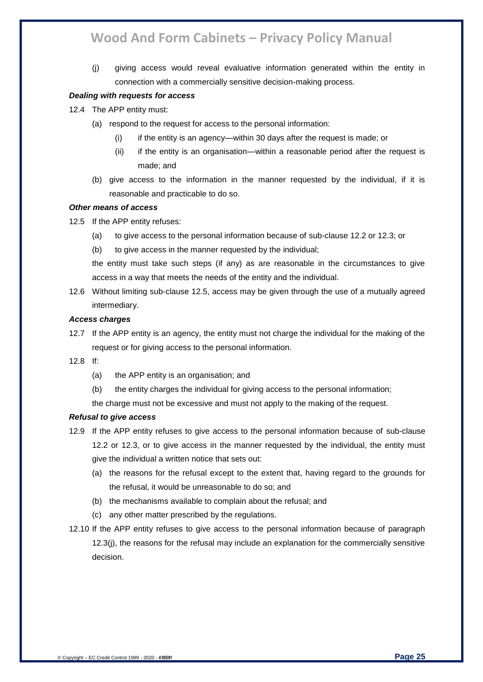(j) giving access would reveal evaluative information generated within the entity in connection with a commercially sensitive decision-making process.

#### *Dealing with requests for access*

- 12.4 The APP entity must:
	- (a) respond to the request for access to the personal information:
		- (i) if the entity is an agency—within 30 days after the request is made; or
		- (ii) if the entity is an organisation—within a reasonable period after the request is made; and
	- (b) give access to the information in the manner requested by the individual, if it is reasonable and practicable to do so.

#### *Other means of access*

- 12.5 If the APP entity refuses:
	- (a) to give access to the personal information because of sub-clause 12.2 or 12.3; or
	- (b) to give access in the manner requested by the individual;

the entity must take such steps (if any) as are reasonable in the circumstances to give access in a way that meets the needs of the entity and the individual.

12.6 Without limiting sub-clause 12.5, access may be given through the use of a mutually agreed intermediary.

#### *Access charges*

- 12.7 If the APP entity is an agency, the entity must not charge the individual for the making of the request or for giving access to the personal information.
- 12.8 If:
	- (a) the APP entity is an organisation; and
	- (b) the entity charges the individual for giving access to the personal information;

the charge must not be excessive and must not apply to the making of the request.

#### *Refusal to give access*

- 12.9 If the APP entity refuses to give access to the personal information because of sub-clause 12.2 or 12.3, or to give access in the manner requested by the individual, the entity must give the individual a written notice that sets out:
	- (a) the reasons for the refusal except to the extent that, having regard to the grounds for the refusal, it would be unreasonable to do so; and
	- (b) the mechanisms available to complain about the refusal; and
	- (c) any other matter prescribed by the regulations.
- 12.10 If the APP entity refuses to give access to the personal information because of paragraph 12.3(j), the reasons for the refusal may include an explanation for the commercially sensitive decision.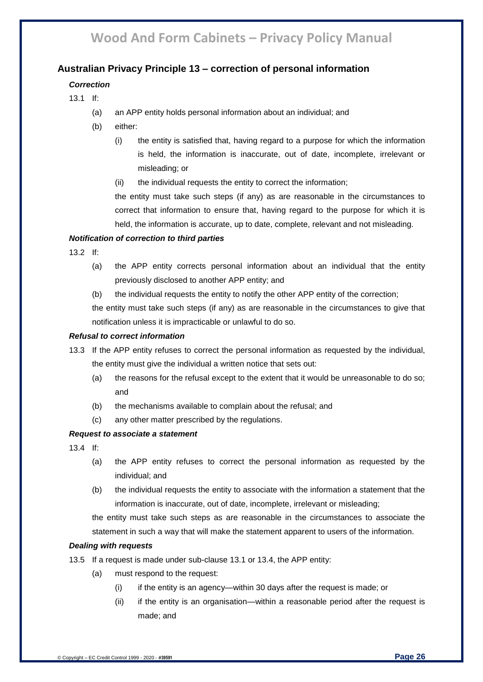#### **Australian Privacy Principle 13 – correction of personal information**

#### *Correction*

- 13.1 If:
	- (a) an APP entity holds personal information about an individual; and
	- (b) either:
		- (i) the entity is satisfied that, having regard to a purpose for which the information is held, the information is inaccurate, out of date, incomplete, irrelevant or misleading; or
		- (ii) the individual requests the entity to correct the information;

the entity must take such steps (if any) as are reasonable in the circumstances to correct that information to ensure that, having regard to the purpose for which it is held, the information is accurate, up to date, complete, relevant and not misleading.

#### *Notification of correction to third parties*

- 13.2 If:
	- (a) the APP entity corrects personal information about an individual that the entity previously disclosed to another APP entity; and
	- (b) the individual requests the entity to notify the other APP entity of the correction;

the entity must take such steps (if any) as are reasonable in the circumstances to give that notification unless it is impracticable or unlawful to do so.

#### *Refusal to correct information*

- 13.3 If the APP entity refuses to correct the personal information as requested by the individual, the entity must give the individual a written notice that sets out:
	- (a) the reasons for the refusal except to the extent that it would be unreasonable to do so; and
	- (b) the mechanisms available to complain about the refusal; and
	- (c) any other matter prescribed by the regulations.

#### *Request to associate a statement*

13.4 If:

- (a) the APP entity refuses to correct the personal information as requested by the individual; and
- (b) the individual requests the entity to associate with the information a statement that the information is inaccurate, out of date, incomplete, irrelevant or misleading;

the entity must take such steps as are reasonable in the circumstances to associate the statement in such a way that will make the statement apparent to users of the information.

#### *Dealing with requests*

13.5 If a request is made under sub-clause 13.1 or 13.4, the APP entity:

- (a) must respond to the request:
	- (i) if the entity is an agency—within 30 days after the request is made; or
	- (ii) if the entity is an organisation—within a reasonable period after the request is made; and